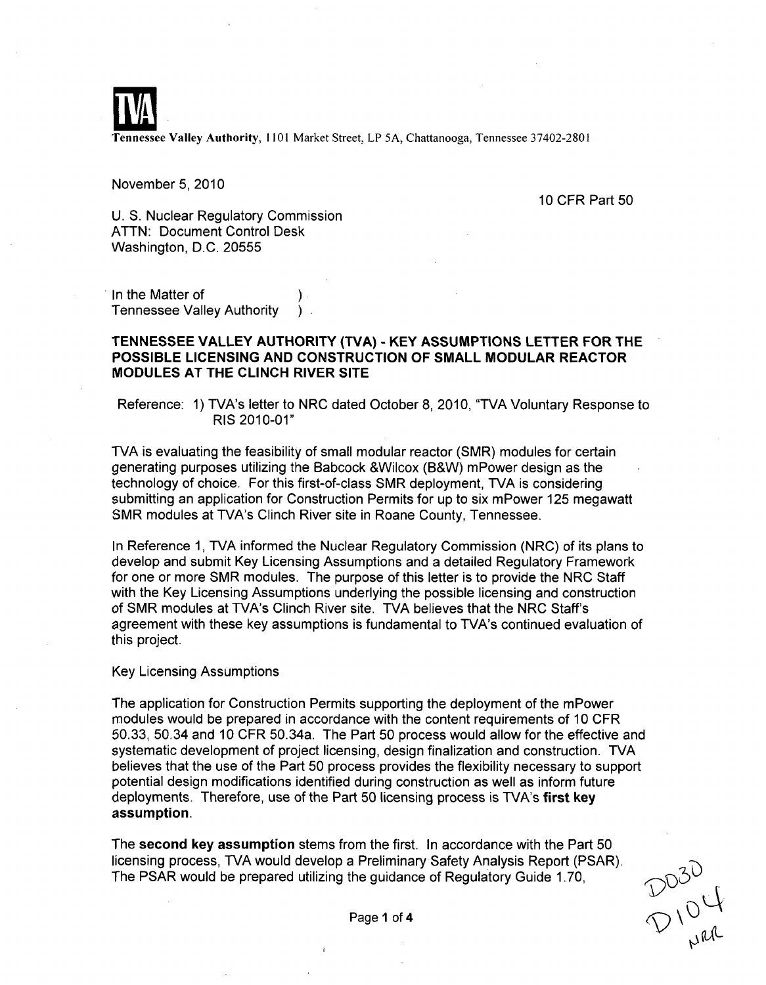

Tennessee Valley Authority, 1101 Market Street, LP 5A, Chattanooga, Tennessee 37402-2801

November 5, 2010

10 CFR Part 50

U. S. Nuclear Regulatory Commission ATTN: Document Control Desk Washington, D.C. 20555

In the Matter of Tennessee Valley Authority

## **TENNESSEE** VALLEY AUTHORITY (TVA) - KEY **ASSUMPTIONS** LETTER FOR THE **POSSIBLE LICENSING AND CONSTRUCTION** OF **SMALL** MODULAR REACTOR **MODULES AT** THE **CLINCH** RIVER **SITE**

Reference: **1)** TVA's letter to NRC dated October **8,** 2010, "TVA Voluntary Response to **RIS 2010-01"**

TVA is evaluating the feasibility of small modular reactor (SMR) modules for certain generating purposes utilizing the Babcock &Wilcox (B&W) mPower design as the technology of choice. For this first-of-class SMR deployment, TVA is considering submitting an application for Construction Permits for up to six mPower 125 megawatt SMR modules at TVA's Clinch River site in Roane County, Tennessee.

In Reference 1, TVA informed the Nuclear Regulatory Commission (NRC) of its plans to develop and submit Key Licensing Assumptions and a detailed Regulatory Framework for one or more SMR modules. The purpose of this letter is to provide the NRC Staff with the Key Licensing Assumptions underlying the possible licensing and construction of SMR modules at TVA's Clinch River site. TVA believes that the NRC Staff's agreement with these key assumptions is fundamental to TVA's continued evaluation of this project.

Key Licensing Assumptions

The application for Construction Permits supporting the deployment of the mPower modules would be prepared in accordance with the content requirements of 10 CFR 50.33, 50.34 and 10 CFR 50.34a. The Part 50 process would allow for the effective and systematic development of project licensing, design finalization and construction. TVA believes that the use of the Part 50 process provides the flexibility necessary to support potential design modifications identified during construction as well as inform future deployments. Therefore, use of the Part 50 licensing process is TVA's first key assumption.

The second key assumption stems from the first. In accordance with the Part 50 licensing process, TVA would develop a Preliminary Safety Analysis Report (PSAR).<br>The PSAR would be prepared utilizing the guidance of Regulatory Guide 1.70,<br>Page 1 of 4 The PSAR would be prepared utilizing the guidance of Regulatory Guide 1.70,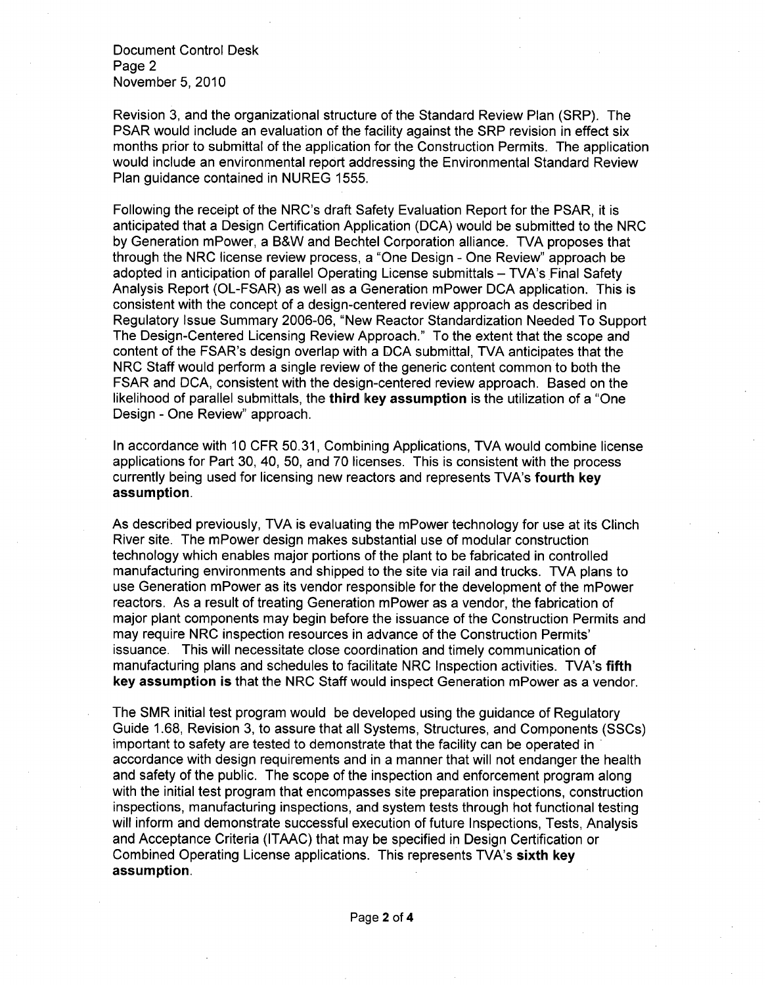Document Control Desk Page 2 November 5, 2010

Revision 3, and the organizational structure of the Standard Review Plan (SRP). The PSAR would include an evaluation of the facility against the SRP revision in effect six months prior to submittal of the application for the Construction Permits. The application would include an environmental report addressing the Environmental Standard Review Plan guidance contained in NUREG 1555.

Following the receipt of the NRC's draft Safety Evaluation Report for the PSAR, it is anticipated that a Design Certification Application (DCA) would be submitted to the NRC by Generation mPower, a B&W and Bechtel Corporation alliance. TVA proposes that through the NRC license review process, a "One Design - One Review" approach be adopted in anticipation of parallel Operating License submittals - TVA's Final Safety Analysis Report (OL-FSAR) as well as a Generation mPower DCA application. This is consistent with the concept of a design-centered review approach as described in Regulatory Issue Summary 2006-06, "New Reactor Standardization Needed To Support The Design-Centered Licensing Review Approach." To the extent that the scope and content of the FSAR's design overlap with a DCA submittal, TVA anticipates that the NRC Staff would perform a single review of the generic content common to both the FSAR and DCA, consistent with the design-centered review approach. Based on the likelihood of parallel submittals, the third key assumption is the utilization of a "One Design - One Review" approach.

In accordance with 10 CFR 50.31, Combining Applications, TVA would combine license applications for Part 30, 40, 50, and 70 licenses. This is consistent with the process currently being used for licensing new reactors and represents TVA's fourth key assumption.

As described previously, TVA is evaluating the mPower technology for use at its Clinch River site. The mPower design makes substantial use of modular construction technology which enables major portions of the plant to be fabricated in controlled manufacturing environments and shipped to the site via rail and trucks. TVA plans to use Generation mPower as its vendor responsible for the development of the mPower reactors. As a result of treating Generation mPower as a vendor, the fabrication of major plant components may begin before the issuance of the Construction Permits and may require NRC inspection resources in advance of the Construction Permits' issuance. This will necessitate close coordination and timely communication of manufacturing plans and schedules to facilitate NRC Inspection activities. TVA's fifth key assumption is that the NRC Staff would inspect Generation mPower as a vendor.

The SMR initial test program would be developed using the guidance of Regulatory Guide 1.68, Revision 3, to assure that all Systems, Structures, and Components (SSCs) important to safety are tested to demonstrate that the facility can be operated in  accordance with design requirements and in a manner that will not endanger the health and safety of the public. The scope of the inspection and enforcement program along with the initial test program that encompasses site preparation inspections, construction inspections, manufacturing inspections, and system tests through hot functional testing will inform and demonstrate successful execution of future Inspections, Tests, Analysis and Acceptance Criteria (ITAAC) that may be specified in Design Certification or Combined Operating License applications. This represents TVA's sixth key assumption.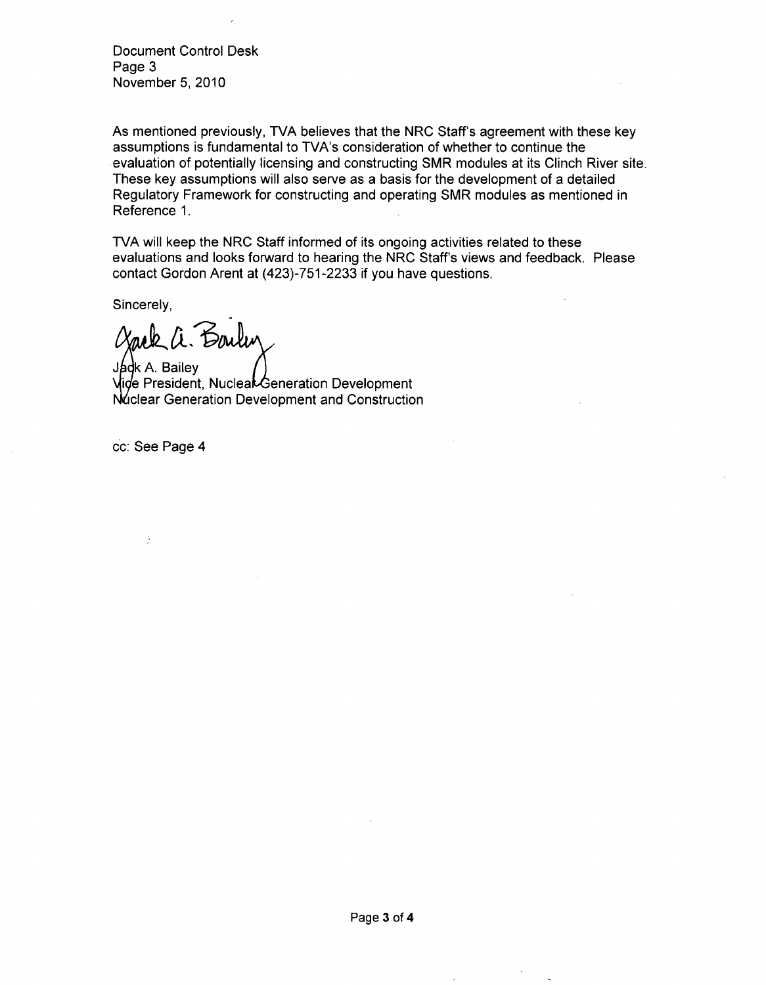Document Control Desk Page 3 November 5, 2010

As mentioned previously, TVA believes that the NRC Staff's agreement with these key assumptions is fundamental to TVA's consideration of whether to continue the evaluation of potentially licensing and constructing SMR modules at its Clinch River site. These key assumptions will also serve as a basis for the development of a detailed Regulatory Framework for constructing and operating SMR modules as mentioned in Reference 1.

TVA will keep the NRC Staff informed of its ongoing activities related to these evaluations and looks forward to hearing the NRC Staff's views and feedback. Please contact Gordon Arent at (423)-751-2233 if you have questions.

Sincerely,

*Clark a. Son* 

**<sup>J</sup>~k A.** Bailey *f* Vide President, Nucleal Generation Development Nuclear Generation Development and Construction

cc: See Page 4

ð